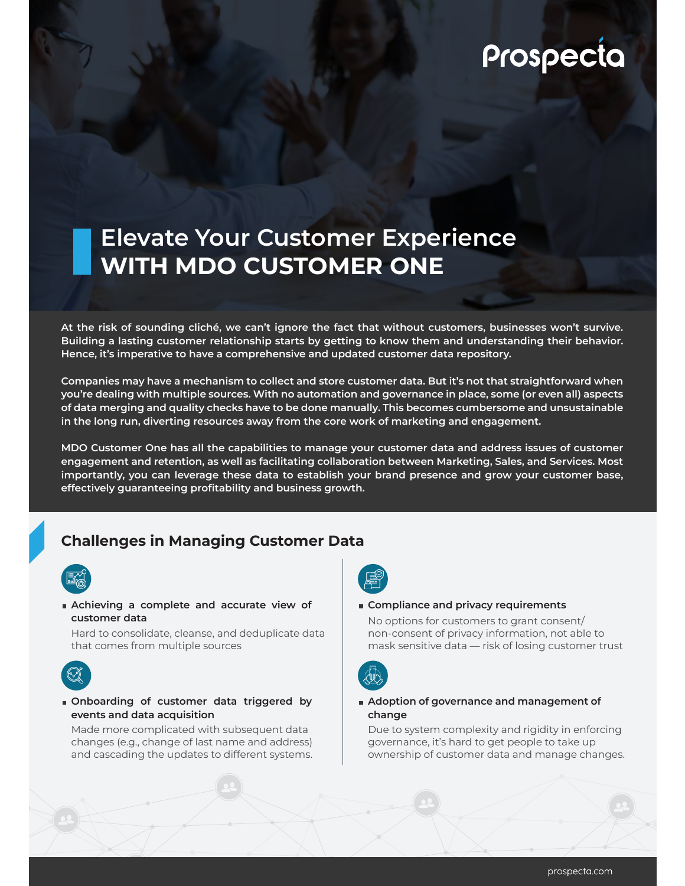# Prospecta

## **Elevate Your Customer Experience WITH MDO CUSTOMER ONE**

**At the risk of sounding cliché, we can't ignore the fact that without customers, businesses won't survive. Building a lasting customer relationship starts by getting to know them and understanding their behavior. Hence, it's imperative to have a comprehensive and updated customer data repository.** 

**Companies may have a mechanism to collect and store customer data. But it's not that straightforward when you're dealing with multiple sources. With no automation and governance in place, some (or even all) aspects of data merging and quality checks have to be done manually. This becomes cumbersome and unsustainable in the long run, diverting resources away from the core work of marketing and engagement.** 

**MDO Customer One has all the capabilities to manage your customer data and address issues of customer engagement and retention, as well as facilitating collaboration between Marketing, Sales, and Services. Most importantly, you can leverage these data to establish your brand presence and grow your customer base, effectively guaranteeing profitability and business growth.**

### **Challenges in Managing Customer Data**



**Achieving a complete and accurate view of customer data** 

Hard to consolidate, cleanse, and deduplicate data that comes from multiple sources



#### **Onboarding of customer data triggered by events and data acquisition**

Made more complicated with subsequent data changes (e.g., change of last name and address) and cascading the updates to different systems.



#### **Compliance and privacy requirements**

No options for customers to grant consent/ non-consent of privacy information, not able to mask sensitive data — risk of losing customer trust



#### **Adoption of governance and management of change**

Due to system complexity and rigidity in enforcing governance, it's hard to get people to take up ownership of customer data and manage changes.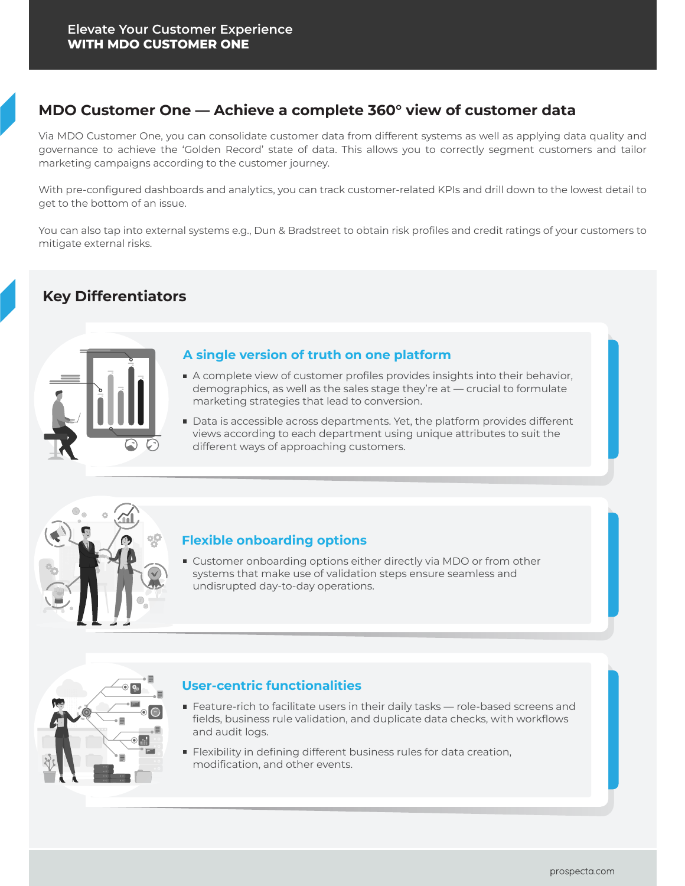## **MDO Customer One — Achieve a complete 360° view of customer data**

Via MDO Customer One, you can consolidate customer data from different systems as well as applying data quality and governance to achieve the 'Golden Record' state of data. This allows you to correctly segment customers and tailor marketing campaigns according to the customer journey.

With pre-configured dashboards and analytics, you can track customer-related KPIs and drill down to the lowest detail to get to the bottom of an issue.

You can also tap into external systems e.g., Dun & Bradstreet to obtain risk profiles and credit ratings of your customers to mitigate external risks.

## **Key Differentiators**



#### **A single version of truth on one platform**

- A complete view of customer profiles provides insights into their behavior, demographics, as well as the sales stage they're at — crucial to formulate marketing strategies that lead to conversion.
- Data is accessible across departments. Yet, the platform provides different views according to each department using unique attributes to suit the different ways of approaching customers.



#### **Flexible onboarding options**

**Customer onboarding options either directly via MDO or from other** systems that make use of validation steps ensure seamless and undisrupted day-to-day operations.



#### **User-centric functionalities**

- **Feature-rich to facilitate users in their daily tasks role-based screens and** fields, business rule validation, and duplicate data checks, with workflows and audit logs.
- **Filexibility in defining different business rules for data creation,** modification, and other events.